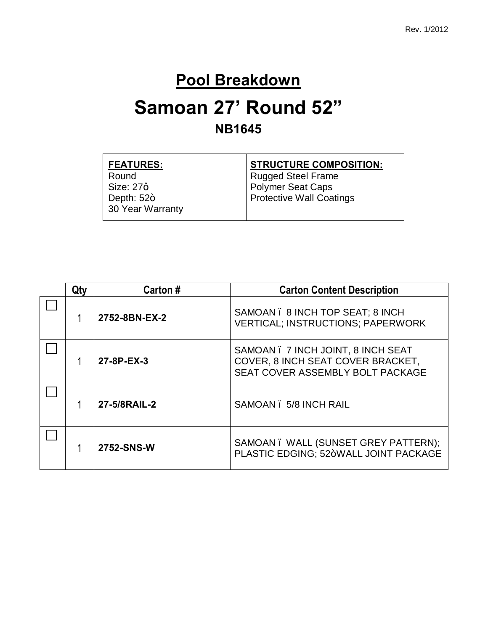#### **Pool Breakdown**

### **Samoan 27' Round 52" NB1645**

| <b>FEATURES:</b> | <b>STRUCTURE COMPOSITION:</b>   |
|------------------|---------------------------------|
| Round            | <b>Rugged Steel Frame</b>       |
| Size: 27q        | <b>Polymer Seat Caps</b>        |
| Depth: $52+$     | <b>Protective Wall Coatings</b> |
| 30 Year Warranty |                                 |
|                  |                                 |

| Qty        | Carton#                                | <b>Carton Content Description</b>                                                                           |
|------------|----------------------------------------|-------------------------------------------------------------------------------------------------------------|
|            | 2752-8BN-EX-2                          | SAMOAN . 8 INCH TOP SEAT: 8 INCH<br><b>VERTICAL; INSTRUCTIONS; PAPERWORK</b>                                |
| 27-8P-EX-3 |                                        | SAMOAN . 7 INCH JOINT, 8 INCH SEAT<br>COVER, 8 INCH SEAT COVER BRACKET,<br>SEAT COVER ASSEMBLY BOLT PACKAGE |
|            | 27-5/8RAIL-2<br>SAMOAN . 5/8 INCH RAIL |                                                                                                             |
|            | 2752-SNS-W                             | SAMOAN. WALL (SUNSET GREY PATTERN);<br>PLASTIC EDGING: 52+WALL JOINT PACKAGE                                |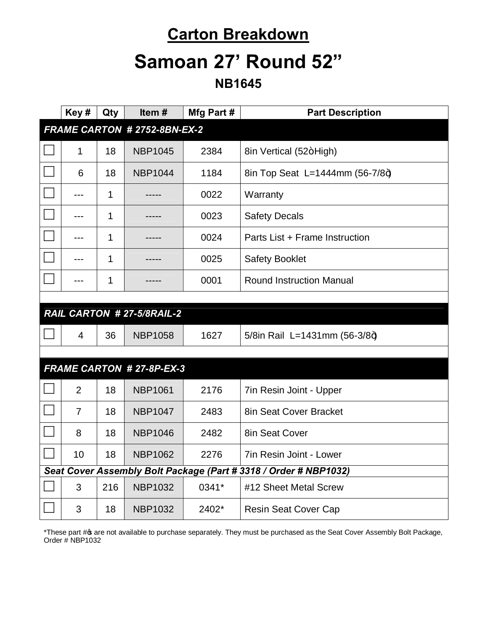### **Carton Breakdown**

# **Samoan 27' Round 52"**

**NB1645**

|                                                                  | Key#                         | Qty | Item#                            | Mfg Part # | <b>Part Description</b>         |  |
|------------------------------------------------------------------|------------------------------|-----|----------------------------------|------------|---------------------------------|--|
|                                                                  | FRAME CARTON # 2752-8BN-EX-2 |     |                                  |            |                                 |  |
|                                                                  | 1                            | 18  | <b>NBP1045</b>                   | 2384       | 8in Vertical (52+High)          |  |
|                                                                  | 6                            | 18  | <b>NBP1044</b>                   | 1184       | 8in Top Seat L=1444mm (56-7/8+) |  |
|                                                                  | ---                          | 1   |                                  | 0022       | Warranty                        |  |
|                                                                  |                              | 1   |                                  | 0023       | <b>Safety Decals</b>            |  |
|                                                                  | ---                          | 1   |                                  | 0024       | Parts List + Frame Instruction  |  |
|                                                                  | ---                          | 1   |                                  | 0025       | <b>Safety Booklet</b>           |  |
|                                                                  | ---                          | 1   |                                  | 0001       | <b>Round Instruction Manual</b> |  |
|                                                                  |                              |     |                                  |            |                                 |  |
|                                                                  |                              |     | RAIL CARTON # 27-5/8RAIL-2       |            |                                 |  |
|                                                                  | 4                            | 36  | <b>NBP1058</b>                   | 1627       | 5/8in Rail L=1431mm (56-3/8+)   |  |
|                                                                  |                              |     |                                  |            |                                 |  |
|                                                                  |                              |     | <b>FRAME CARTON # 27-8P-EX-3</b> |            |                                 |  |
|                                                                  | $\overline{2}$               | 18  | <b>NBP1061</b>                   | 2176       | 7in Resin Joint - Upper         |  |
|                                                                  | $\overline{7}$               | 18  | <b>NBP1047</b>                   | 2483       | 8in Seat Cover Bracket          |  |
|                                                                  | 8                            | 18  | <b>NBP1046</b>                   | 2482       | 8in Seat Cover                  |  |
|                                                                  | 10                           | 18  | <b>NBP1062</b>                   | 2276       | 7in Resin Joint - Lower         |  |
| Seat Cover Assembly Bolt Package (Part # 3318 / Order # NBP1032) |                              |     |                                  |            |                                 |  |
|                                                                  | 3                            | 216 | <b>NBP1032</b>                   | 0341*      | #12 Sheet Metal Screw           |  |
|                                                                  | 3                            | 18  | <b>NBP1032</b>                   | 2402*      | <b>Resin Seat Cover Cap</b>     |  |

\*These part # are not available to purchase separately. They must be purchased as the Seat Cover Assembly Bolt Package, Order # NBP1032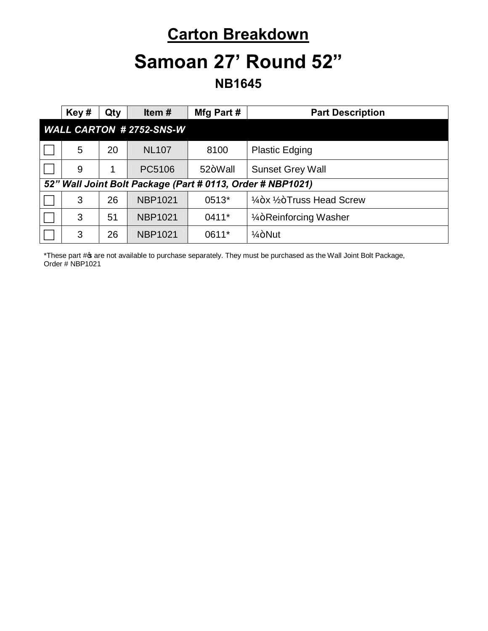### **Carton Breakdown**

## **Samoan 27' Round 52"**

**NB1645**

|                                | Key#                                                       | Qty | Item $#$       | Mfg Part# | <b>Part Description</b>                          |  |
|--------------------------------|------------------------------------------------------------|-----|----------------|-----------|--------------------------------------------------|--|
| <b>WALL CARTON #2752-SNS-W</b> |                                                            |     |                |           |                                                  |  |
|                                | 5                                                          | 20  | <b>NL107</b>   | 8100      | <b>Plastic Edging</b>                            |  |
|                                | 9                                                          |     | PC5106         | 52+Wall   | <b>Sunset Grey Wall</b>                          |  |
|                                | 52" Wall Joint Bolt Package (Part # 0113, Order # NBP1021) |     |                |           |                                                  |  |
|                                | 3                                                          | 26  | <b>NBP1021</b> | 0513*     | $\frac{1}{4}$ +x $\frac{1}{2}$ +Truss Head Screw |  |
|                                | 3                                                          | 51  | <b>NBP1021</b> | $0411*$   | 1/ <sub>4</sub> +Reinforcing Washer              |  |
|                                | 3                                                          | 26  | <b>NBP1021</b> | 0611*     | $1/4 + N$ ut                                     |  |

\*These part # are not available to purchase separately. They must be purchased as the Wall Joint Bolt Package, Order # NBP1021